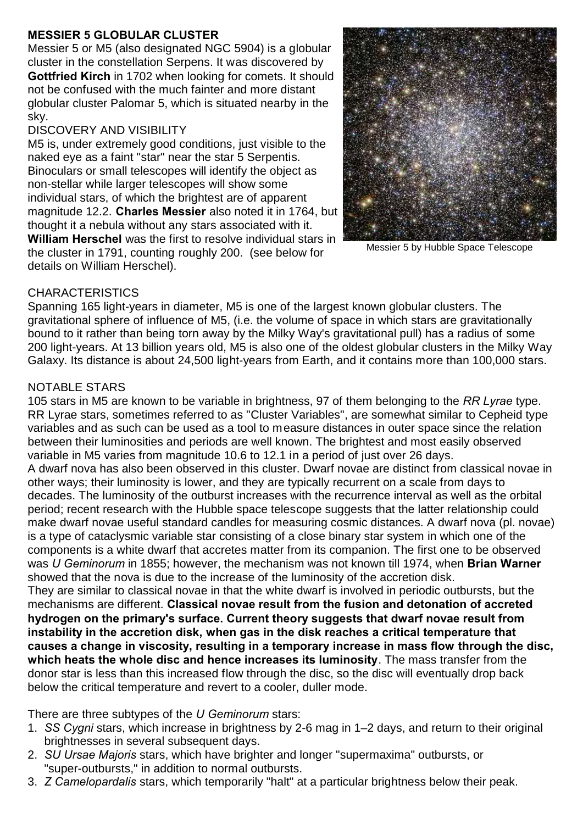## **MESSIER 5 GLOBULAR CLUSTER**

Messier 5 or M5 (also designated NGC 5904) is a globular cluster in the constellation Serpens. It was discovered by **Gottfried Kirch** in 1702 when looking for comets. It should not be confused with the much fainter and more distant globular cluster Palomar 5, which is situated nearby in the sky.

## DISCOVERY AND VISIBILITY

M5 is, under extremely good conditions, just visible to the naked eye as a faint "star" near the star 5 Serpentis. Binoculars or small telescopes will identify the object as non-stellar while larger telescopes will show some individual stars, of which the brightest are of apparent magnitude 12.2. **Charles Messier** also noted it in 1764, but thought it a nebula without any stars associated with it. **William Herschel** was the first to resolve individual stars in the cluster in 1791, counting roughly 200. (see below for details on William Herschel).



Messier 5 by Hubble Space Telescope

## **CHARACTERISTICS**

Spanning 165 light-years in diameter, M5 is one of the largest known globular clusters. The gravitational sphere of influence of M5, (i.e. the volume of space in which stars are gravitationally bound to it rather than being torn away by the Milky Way's gravitational pull) has a radius of some 200 light-years. At 13 billion years old, M5 is also one of the oldest globular clusters in the Milky Way Galaxy. Its distance is about 24,500 light-years from Earth, and it contains more than 100,000 stars.

## NOTABLE STARS

105 stars in M5 are known to be variable in brightness, 97 of them belonging to the *RR Lyrae* type. RR Lyrae stars, sometimes referred to as "Cluster Variables", are somewhat similar to Cepheid type variables and as such can be used as a tool to measure distances in outer space since the relation between their luminosities and periods are well known. The brightest and most easily observed variable in M5 varies from magnitude 10.6 to 12.1 in a period of just over 26 days. A dwarf nova has also been observed in this cluster. Dwarf novae are distinct from classical novae in other ways; their luminosity is lower, and they are typically recurrent on a scale from days to decades. The luminosity of the outburst increases with the recurrence interval as well as the orbital period; recent research with the Hubble space telescope suggests that the latter relationship could make dwarf novae useful standard candles for measuring cosmic distances. A dwarf nova (pl. novae) is a type of cataclysmic variable star consisting of a close binary star system in which one of the components is a white dwarf that accretes matter from its companion. The first one to be observed was *U Geminorum* in 1855; however, the mechanism was not known till 1974, when **Brian Warner** showed that the nova is due to the increase of the luminosity of the accretion disk.

They are similar to classical novae in that the white dwarf is involved in periodic outbursts, but the mechanisms are different. **Classical novae result from the fusion and detonation of accreted hydrogen on the primary's surface. Current theory suggests that dwarf novae result from instability in the accretion disk, when gas in the disk reaches a critical temperature that causes a change in viscosity, resulting in a temporary increase in mass flow through the disc, which heats the whole disc and hence increases its luminosity**. The mass transfer from the donor star is less than this increased flow through the disc, so the disc will eventually drop back below the critical temperature and revert to a cooler, duller mode.

There are three subtypes of the *U Geminorum* stars:

- 1. *SS Cygni* stars, which increase in brightness by 2-6 mag in 1–2 days, and return to their original brightnesses in several subsequent days.
- 2. *SU Ursae Majoris* stars, which have brighter and longer "supermaxima" outbursts, or "super-outbursts," in addition to normal outbursts.
- 3. *Z Camelopardalis* stars, which temporarily "halt" at a particular brightness below their peak.